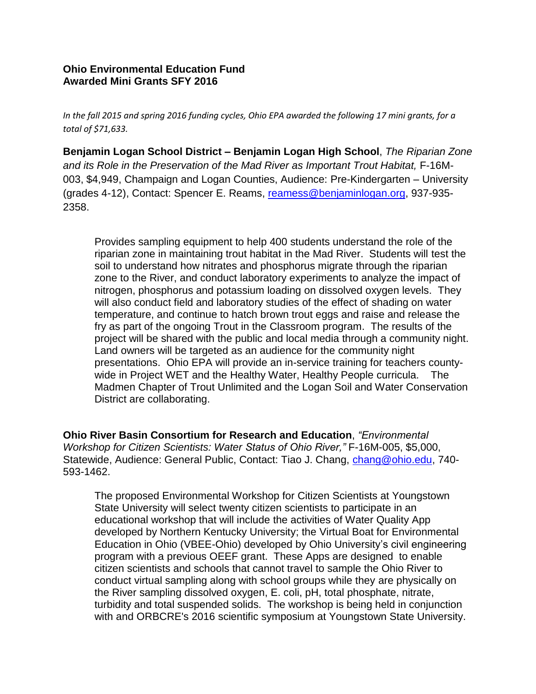## **Ohio Environmental Education Fund Awarded Mini Grants SFY 2016**

*In the fall 2015 and spring 2016 funding cycles, Ohio EPA awarded the following 17 mini grants, for a total of \$71,633.*

**Benjamin Logan School District – Benjamin Logan High School**, *The Riparian Zone and its Role in the Preservation of the Mad River as Important Trout Habitat,* F-16M-003, \$4,949, Champaign and Logan Counties, Audience: Pre-Kindergarten – University (grades 4-12), Contact: Spencer E. Reams, [reamess@benjaminlogan.org,](mailto:reamess@benjaminlogan.org) 937-935- 2358.

Provides sampling equipment to help 400 students understand the role of the riparian zone in maintaining trout habitat in the Mad River. Students will test the soil to understand how nitrates and phosphorus migrate through the riparian zone to the River, and conduct laboratory experiments to analyze the impact of nitrogen, phosphorus and potassium loading on dissolved oxygen levels. They will also conduct field and laboratory studies of the effect of shading on water temperature, and continue to hatch brown trout eggs and raise and release the fry as part of the ongoing Trout in the Classroom program. The results of the project will be shared with the public and local media through a community night. Land owners will be targeted as an audience for the community night presentations. Ohio EPA will provide an in-service training for teachers countywide in Project WET and the Healthy Water, Healthy People curricula. The Madmen Chapter of Trout Unlimited and the Logan Soil and Water Conservation District are collaborating.

**Ohio River Basin Consortium for Research and Education**, *"Environmental Workshop for Citizen Scientists: Water Status of Ohio River,"* F-16M-005, \$5,000, Statewide, Audience: General Public, Contact: Tiao J. Chang, [chang@ohio.edu,](mailto:chang@ohio.edu) 740- 593-1462.

The proposed Environmental Workshop for Citizen Scientists at Youngstown State University will select twenty citizen scientists to participate in an educational workshop that will include the activities of Water Quality App developed by Northern Kentucky University; the Virtual Boat for Environmental Education in Ohio (VBEE-Ohio) developed by Ohio University's civil engineering program with a previous OEEF grant. These Apps are designed to enable citizen scientists and schools that cannot travel to sample the Ohio River to conduct virtual sampling along with school groups while they are physically on the River sampling dissolved oxygen, E. coli, pH, total phosphate, nitrate, turbidity and total suspended solids. The workshop is being held in conjunction with and ORBCRE's 2016 scientific symposium at Youngstown State University.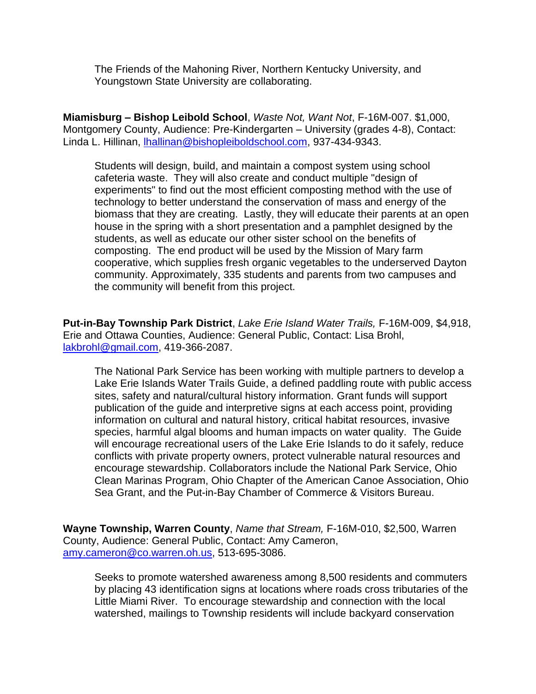The Friends of the Mahoning River, Northern Kentucky University, and Youngstown State University are collaborating.

**Miamisburg – Bishop Leibold School**, *Waste Not, Want Not*, F-16M-007. \$1,000, Montgomery County, Audience: Pre-Kindergarten – University (grades 4-8), Contact: Linda L. Hillinan, [lhallinan@bishopleiboldschool.com,](mailto:lhallinan@bishopleiboldschool.com) 937-434-9343.

Students will design, build, and maintain a compost system using school cafeteria waste. They will also create and conduct multiple "design of experiments" to find out the most efficient composting method with the use of technology to better understand the conservation of mass and energy of the biomass that they are creating. Lastly, they will educate their parents at an open house in the spring with a short presentation and a pamphlet designed by the students, as well as educate our other sister school on the benefits of composting. The end product will be used by the Mission of Mary farm cooperative, which supplies fresh organic vegetables to the underserved Dayton community. Approximately, 335 students and parents from two campuses and the community will benefit from this project.

**Put-in-Bay Township Park District**, *Lake Erie Island Water Trails,* F-16M-009, \$4,918, Erie and Ottawa Counties, Audience: General Public, Contact: Lisa Brohl, [lakbrohl@gmail.com,](mailto:lakbrohl@gmail.com) 419-366-2087.

The National Park Service has been working with multiple partners to develop a Lake Erie Islands Water Trails Guide, a defined paddling route with public access sites, safety and natural/cultural history information. Grant funds will support publication of the guide and interpretive signs at each access point, providing information on cultural and natural history, critical habitat resources, invasive species, harmful algal blooms and human impacts on water quality. The Guide will encourage recreational users of the Lake Erie Islands to do it safely, reduce conflicts with private property owners, protect vulnerable natural resources and encourage stewardship. Collaborators include the National Park Service, Ohio Clean Marinas Program, Ohio Chapter of the American Canoe Association, Ohio Sea Grant, and the Put-in-Bay Chamber of Commerce & Visitors Bureau.

**Wayne Township, Warren County**, *Name that Stream,* F-16M-010, \$2,500, Warren County, Audience: General Public, Contact: Amy Cameron, [amy.cameron@co.warren.oh.us,](mailto:amy.cameron@co.warren.oh.us) 513-695-3086.

Seeks to promote watershed awareness among 8,500 residents and commuters by placing 43 identification signs at locations where roads cross tributaries of the Little Miami River. To encourage stewardship and connection with the local watershed, mailings to Township residents will include backyard conservation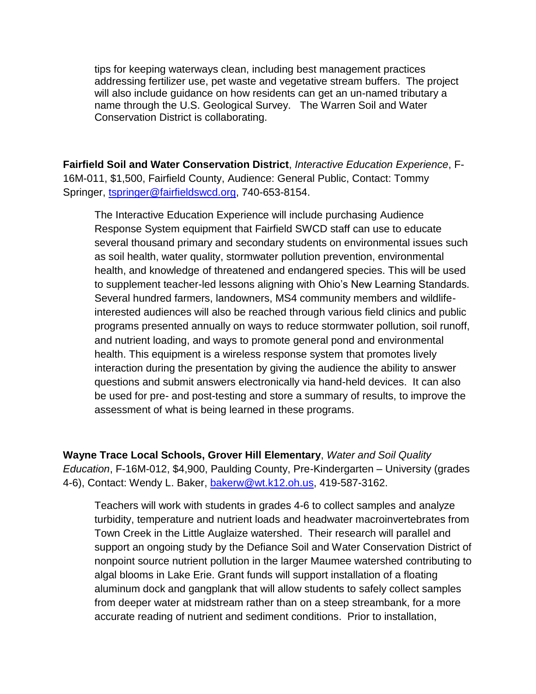tips for keeping waterways clean, including best management practices addressing fertilizer use, pet waste and vegetative stream buffers. The project will also include guidance on how residents can get an un-named tributary a name through the U.S. Geological Survey. The Warren Soil and Water Conservation District is collaborating.

**Fairfield Soil and Water Conservation District**, *Interactive Education Experience*, F-16M-011, \$1,500, Fairfield County, Audience: General Public, Contact: Tommy Springer, [tspringer@fairfieldswcd.org,](mailto:tspringer@fairfieldswcd.org) 740-653-8154.

The Interactive Education Experience will include purchasing Audience Response System equipment that Fairfield SWCD staff can use to educate several thousand primary and secondary students on environmental issues such as soil health, water quality, stormwater pollution prevention, environmental health, and knowledge of threatened and endangered species. This will be used to supplement teacher-led lessons aligning with Ohio's New Learning Standards. Several hundred farmers, landowners, MS4 community members and wildlifeinterested audiences will also be reached through various field clinics and public programs presented annually on ways to reduce stormwater pollution, soil runoff, and nutrient loading, and ways to promote general pond and environmental health. This equipment is a wireless response system that promotes lively interaction during the presentation by giving the audience the ability to answer questions and submit answers electronically via hand-held devices. It can also be used for pre- and post-testing and store a summary of results, to improve the assessment of what is being learned in these programs.

**Wayne Trace Local Schools, Grover Hill Elementary**, *Water and Soil Quality Education*, F-16M-012, \$4,900, Paulding County, Pre-Kindergarten – University (grades 4-6), Contact: Wendy L. Baker, [bakerw@wt.k12.oh.us,](mailto:bakerw@wt.k12.oh.us) 419-587-3162.

Teachers will work with students in grades 4-6 to collect samples and analyze turbidity, temperature and nutrient loads and headwater macroinvertebrates from Town Creek in the Little Auglaize watershed. Their research will parallel and support an ongoing study by the Defiance Soil and Water Conservation District of nonpoint source nutrient pollution in the larger Maumee watershed contributing to algal blooms in Lake Erie. Grant funds will support installation of a floating aluminum dock and gangplank that will allow students to safely collect samples from deeper water at midstream rather than on a steep streambank, for a more accurate reading of nutrient and sediment conditions. Prior to installation,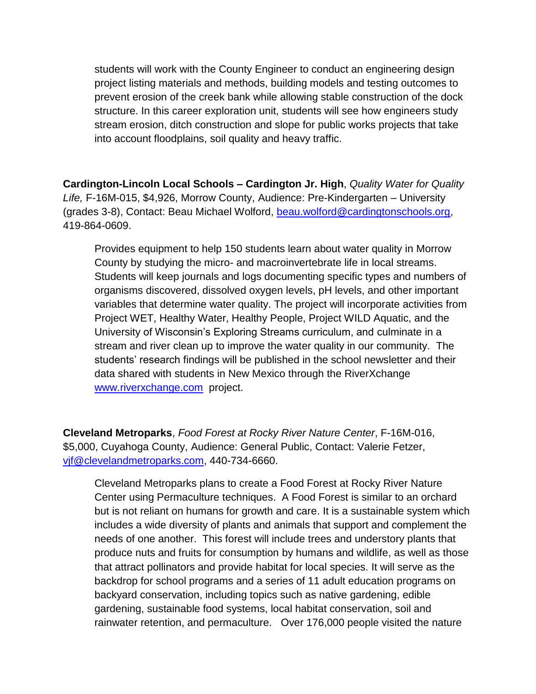students will work with the County Engineer to conduct an engineering design project listing materials and methods, building models and testing outcomes to prevent erosion of the creek bank while allowing stable construction of the dock structure. In this career exploration unit, students will see how engineers study stream erosion, ditch construction and slope for public works projects that take into account floodplains, soil quality and heavy traffic.

**Cardington-Lincoln Local Schools – Cardington Jr. High**, *Quality Water for Quality Life,* F-16M-015, \$4,926, Morrow County, Audience: Pre-Kindergarten – University (grades 3-8), Contact: Beau Michael Wolford, [beau.wolford@cardingtonschools.org,](mailto:beau.wolford@cardingtonschools.org) 419-864-0609.

Provides equipment to help 150 students learn about water quality in Morrow County by studying the micro- and macroinvertebrate life in local streams. Students will keep journals and logs documenting specific types and numbers of organisms discovered, dissolved oxygen levels, pH levels, and other important variables that determine water quality. The project will incorporate activities from Project WET, Healthy Water, Healthy People, Project WILD Aquatic, and the University of Wisconsin's Exploring Streams curriculum, and culminate in a stream and river clean up to improve the water quality in our community. The students' research findings will be published in the school newsletter and their data shared with students in New Mexico through the RiverXchange [www.riverxchange.com](http://www.riverxchange.com/) project.

**Cleveland Metroparks**, *Food Forest at Rocky River Nature Center*, F-16M-016, \$5,000, Cuyahoga County, Audience: General Public, Contact: Valerie Fetzer, [vjf@clevelandmetroparks.com,](mailto:vjf@clevelandmetroparks.com) 440-734-6660.

Cleveland Metroparks plans to create a Food Forest at Rocky River Nature Center using Permaculture techniques. A Food Forest is similar to an orchard but is not reliant on humans for growth and care. It is a sustainable system which includes a wide diversity of plants and animals that support and complement the needs of one another. This forest will include trees and understory plants that produce nuts and fruits for consumption by humans and wildlife, as well as those that attract pollinators and provide habitat for local species. It will serve as the backdrop for school programs and a series of 11 adult education programs on backyard conservation, including topics such as native gardening, edible gardening, sustainable food systems, local habitat conservation, soil and rainwater retention, and permaculture. Over 176,000 people visited the nature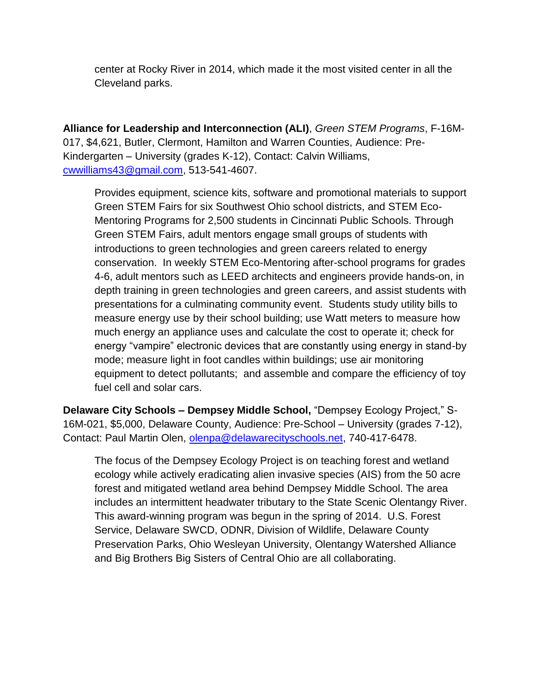center at Rocky River in 2014, which made it the most visited center in all the Cleveland parks.

**Alliance for Leadership and Interconnection (ALI)**, *Green STEM Programs*, F-16M-017, \$4,621, Butler, Clermont, Hamilton and Warren Counties, Audience: Pre-Kindergarten – University (grades K-12), Contact: Calvin Williams, [cwwilliams43@gmail.com,](mailto:cwwilliams43@gmail.com) 513-541-4607.

Provides equipment, science kits, software and promotional materials to support Green STEM Fairs for six Southwest Ohio school districts, and STEM Eco-Mentoring Programs for 2,500 students in Cincinnati Public Schools. Through Green STEM Fairs, adult mentors engage small groups of students with introductions to green technologies and green careers related to energy conservation. In weekly STEM Eco-Mentoring after-school programs for grades 4-6, adult mentors such as LEED architects and engineers provide hands-on, in depth training in green technologies and green careers, and assist students with presentations for a culminating community event. Students study utility bills to measure energy use by their school building; use Watt meters to measure how much energy an appliance uses and calculate the cost to operate it; check for energy "vampire" electronic devices that are constantly using energy in stand-by mode; measure light in foot candles within buildings; use air monitoring equipment to detect pollutants; and assemble and compare the efficiency of toy fuel cell and solar cars.

**Delaware City Schools – Dempsey Middle School,** "Dempsey Ecology Project," S-16M-021, \$5,000, Delaware County, Audience: Pre-School – University (grades 7-12), Contact: Paul Martin Olen, [olenpa@delawarecityschools.net,](mailto:olenpa@delawarecityschools.net) 740-417-6478.

The focus of the Dempsey Ecology Project is on teaching forest and wetland ecology while actively eradicating alien invasive species (AIS) from the 50 acre forest and mitigated wetland area behind Dempsey Middle School. The area includes an intermittent headwater tributary to the State Scenic Olentangy River. This award-winning program was begun in the spring of 2014. U.S. Forest Service, Delaware SWCD, ODNR, Division of Wildlife, Delaware County Preservation Parks, Ohio Wesleyan University, Olentangy Watershed Alliance and Big Brothers Big Sisters of Central Ohio are all collaborating.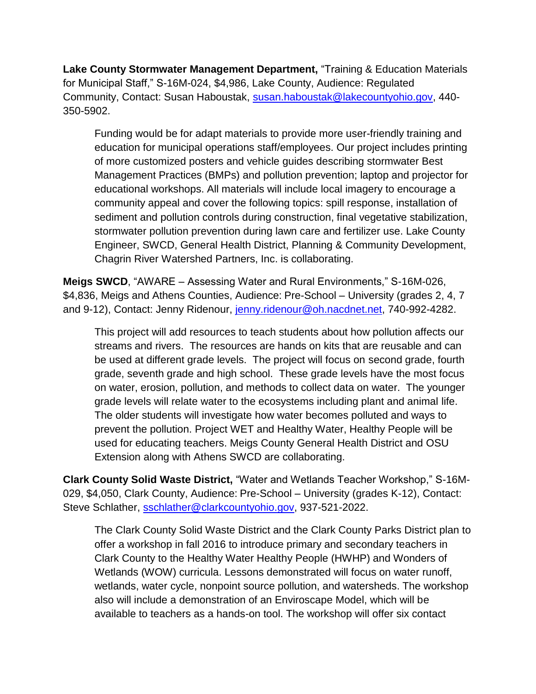**Lake County Stormwater Management Department,** "Training & Education Materials for Municipal Staff," S-16M-024, \$4,986, Lake County, Audience: Regulated Community, Contact: Susan Haboustak, [susan.haboustak@lakecountyohio.gov,](mailto:susan.haboustak@lakecountyohio.gov) 440- 350-5902.

Funding would be for adapt materials to provide more user-friendly training and education for municipal operations staff/employees. Our project includes printing of more customized posters and vehicle guides describing stormwater Best Management Practices (BMPs) and pollution prevention; laptop and projector for educational workshops. All materials will include local imagery to encourage a community appeal and cover the following topics: spill response, installation of sediment and pollution controls during construction, final vegetative stabilization, stormwater pollution prevention during lawn care and fertilizer use. Lake County Engineer, SWCD, General Health District, Planning & Community Development, Chagrin River Watershed Partners, Inc. is collaborating.

**Meigs SWCD**, "AWARE – Assessing Water and Rural Environments," S-16M-026, \$4,836, Meigs and Athens Counties, Audience: Pre-School – University (grades 2, 4, 7 and 9-12), Contact: Jenny Ridenour, [jenny.ridenour@oh.nacdnet.net,](mailto:jenny.ridenour@oh.nacdnet.net) 740-992-4282.

This project will add resources to teach students about how pollution affects our streams and rivers. The resources are hands on kits that are reusable and can be used at different grade levels. The project will focus on second grade, fourth grade, seventh grade and high school. These grade levels have the most focus on water, erosion, pollution, and methods to collect data on water. The younger grade levels will relate water to the ecosystems including plant and animal life. The older students will investigate how water becomes polluted and ways to prevent the pollution. Project WET and Healthy Water, Healthy People will be used for educating teachers. Meigs County General Health District and OSU Extension along with Athens SWCD are collaborating.

**Clark County Solid Waste District,** "Water and Wetlands Teacher Workshop," S-16M-029, \$4,050, Clark County, Audience: Pre-School – University (grades K-12), Contact: Steve Schlather, [sschlather@clarkcountyohio.gov,](mailto:sschlather@clarkcountyohio.gov) 937-521-2022.

The Clark County Solid Waste District and the Clark County Parks District plan to offer a workshop in fall 2016 to introduce primary and secondary teachers in Clark County to the Healthy Water Healthy People (HWHP) and Wonders of Wetlands (WOW) curricula. Lessons demonstrated will focus on water runoff, wetlands, water cycle, nonpoint source pollution, and watersheds. The workshop also will include a demonstration of an Enviroscape Model, which will be available to teachers as a hands-on tool. The workshop will offer six contact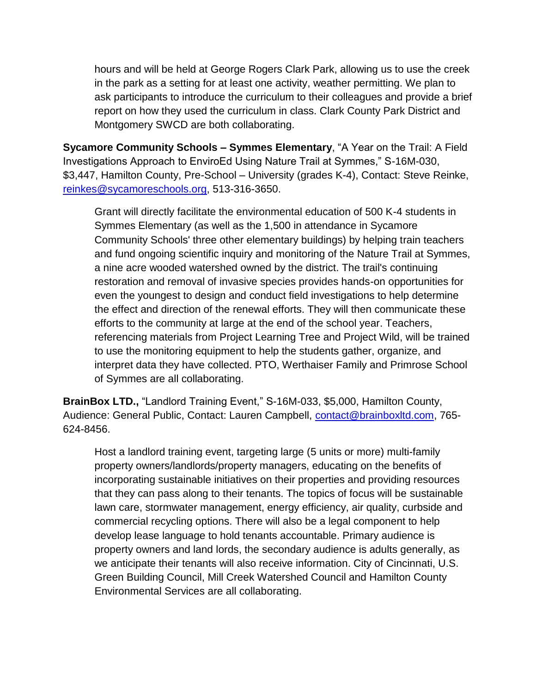hours and will be held at George Rogers Clark Park, allowing us to use the creek in the park as a setting for at least one activity, weather permitting. We plan to ask participants to introduce the curriculum to their colleagues and provide a brief report on how they used the curriculum in class. Clark County Park District and Montgomery SWCD are both collaborating.

**Sycamore Community Schools – Symmes Elementary**, "A Year on the Trail: A Field Investigations Approach to EnviroEd Using Nature Trail at Symmes," S-16M-030, \$3,447, Hamilton County, Pre-School – University (grades K-4), Contact: Steve Reinke, [reinkes@sycamoreschools.org,](mailto:reinkes@sycamoreschools.org) 513-316-3650.

Grant will directly facilitate the environmental education of 500 K-4 students in Symmes Elementary (as well as the 1,500 in attendance in Sycamore Community Schools' three other elementary buildings) by helping train teachers and fund ongoing scientific inquiry and monitoring of the Nature Trail at Symmes, a nine acre wooded watershed owned by the district. The trail's continuing restoration and removal of invasive species provides hands-on opportunities for even the youngest to design and conduct field investigations to help determine the effect and direction of the renewal efforts. They will then communicate these efforts to the community at large at the end of the school year. Teachers, referencing materials from Project Learning Tree and Project Wild, will be trained to use the monitoring equipment to help the students gather, organize, and interpret data they have collected. PTO, Werthaiser Family and Primrose School of Symmes are all collaborating.

**BrainBox LTD.,** "Landlord Training Event," S-16M-033, \$5,000, Hamilton County, Audience: General Public, Contact: Lauren Campbell, [contact@brainboxltd.com,](mailto:contact@brainboxltd.com) 765- 624-8456.

Host a landlord training event, targeting large (5 units or more) multi-family property owners/landlords/property managers, educating on the benefits of incorporating sustainable initiatives on their properties and providing resources that they can pass along to their tenants. The topics of focus will be sustainable lawn care, stormwater management, energy efficiency, air quality, curbside and commercial recycling options. There will also be a legal component to help develop lease language to hold tenants accountable. Primary audience is property owners and land lords, the secondary audience is adults generally, as we anticipate their tenants will also receive information. City of Cincinnati, U.S. Green Building Council, Mill Creek Watershed Council and Hamilton County Environmental Services are all collaborating.